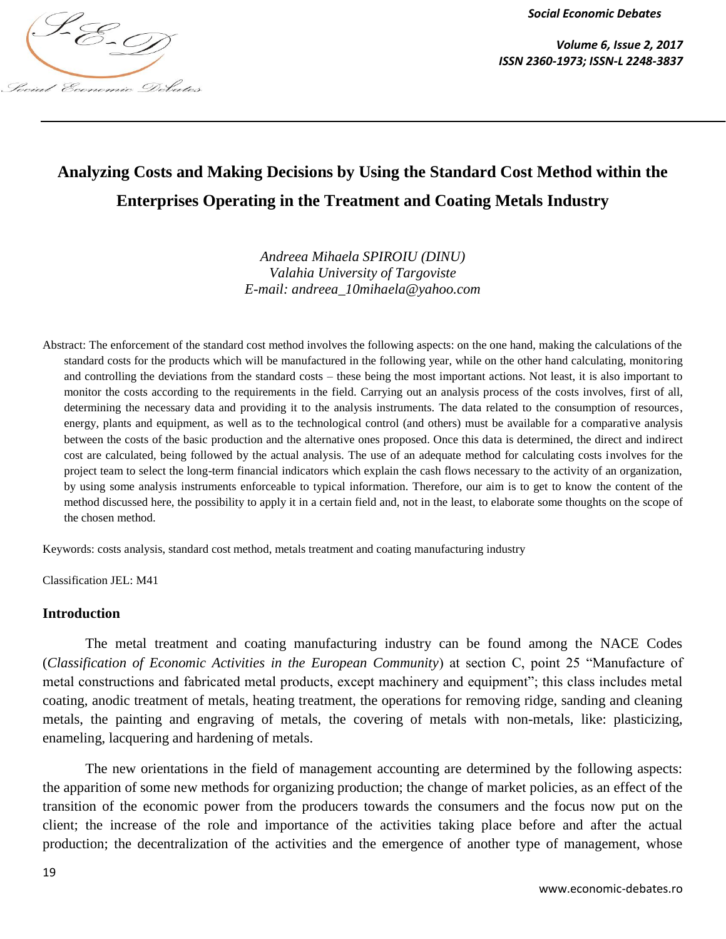

*Volume 6, Issue 2, 2017*

# **Analyzing Costs and Making Decisions by Using the Standard Cost Method within the Enterprises Operating in the Treatment and Coating Metals Industry**

*Andreea Mihaela SPIROIU (DINU) Valahia University of Targoviste E-mail: andreea\_10mihaela@yahoo.com*

Abstract: The enforcement of the standard cost method involves the following aspects: on the one hand, making the calculations of the standard costs for the products which will be manufactured in the following year, while on the other hand calculating, monitoring and controlling the deviations from the standard costs – these being the most important actions. Not least, it is also important to monitor the costs according to the requirements in the field. Carrying out an analysis process of the costs involves, first of all, determining the necessary data and providing it to the analysis instruments. The data related to the consumption of resources, energy, plants and equipment, as well as to the technological control (and others) must be available for a comparative analysis between the costs of the basic production and the alternative ones proposed. Once this data is determined, the direct and indirect cost are calculated, being followed by the actual analysis. The use of an adequate method for calculating costs involves for the project team to select the long-term financial indicators which explain the cash flows necessary to the activity of an organization, by using some analysis instruments enforceable to typical information. Therefore, our aim is to get to know the content of the method discussed here, the possibility to apply it in a certain field and, not in the least, to elaborate some thoughts on the scope of the chosen method.

Keywords: costs analysis, standard cost method, metals treatment and coating manufacturing industry

Classification JEL: M41

#### **Introduction**

The metal treatment and coating manufacturing industry can be found among the NACE Codes (*Classification of Economic Activities in the European Community*) at section C, point 25 "Manufacture of metal constructions and fabricated metal products, except machinery and equipment"; this class includes metal coating, anodic treatment of metals, heating treatment, the operations for removing ridge, sanding and cleaning metals, the painting and engraving of metals, the covering of metals with non-metals, like: plasticizing, enameling, lacquering and hardening of metals.

The new orientations in the field of management accounting are determined by the following aspects: the apparition of some new methods for organizing production; the change of market policies, as an effect of the transition of the economic power from the producers towards the consumers and the focus now put on the client; the increase of the role and importance of the activities taking place before and after the actual production; the decentralization of the activities and the emergence of another type of management, whose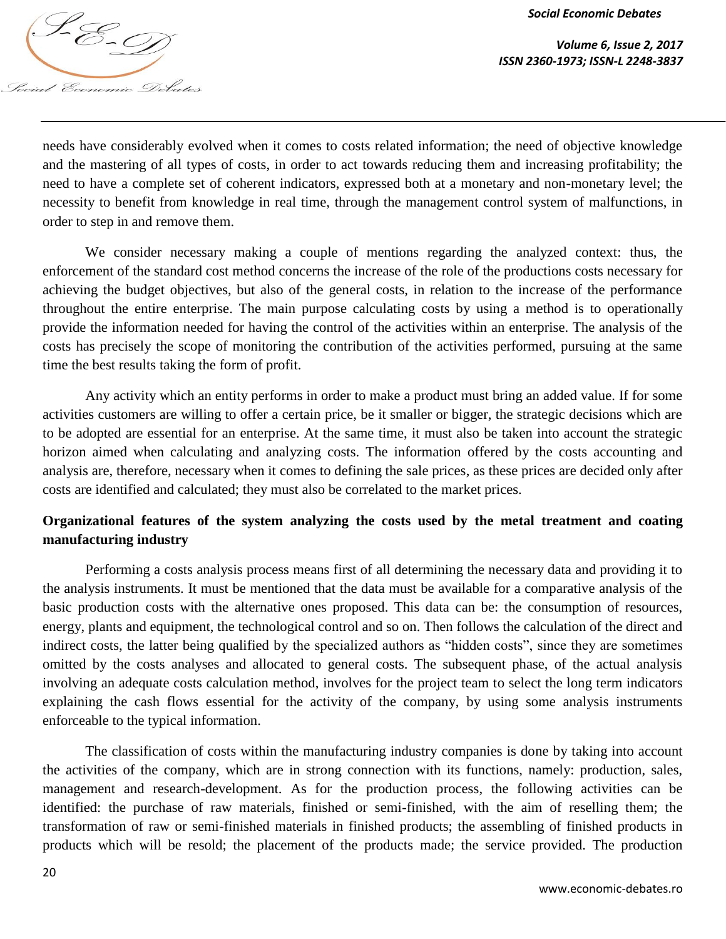

*Volume 6, Issue 2, 2017 ISSN 2360-1973; ISSN-L 2248-3837*

needs have considerably evolved when it comes to costs related information; the need of objective knowledge and the mastering of all types of costs, in order to act towards reducing them and increasing profitability; the need to have a complete set of coherent indicators, expressed both at a monetary and non-monetary level; the necessity to benefit from knowledge in real time, through the management control system of malfunctions, in order to step in and remove them.

We consider necessary making a couple of mentions regarding the analyzed context: thus, the enforcement of the standard cost method concerns the increase of the role of the productions costs necessary for achieving the budget objectives, but also of the general costs, in relation to the increase of the performance throughout the entire enterprise. The main purpose calculating costs by using a method is to operationally provide the information needed for having the control of the activities within an enterprise. The analysis of the costs has precisely the scope of monitoring the contribution of the activities performed, pursuing at the same time the best results taking the form of profit.

Any activity which an entity performs in order to make a product must bring an added value. If for some activities customers are willing to offer a certain price, be it smaller or bigger, the strategic decisions which are to be adopted are essential for an enterprise. At the same time, it must also be taken into account the strategic horizon aimed when calculating and analyzing costs. The information offered by the costs accounting and analysis are, therefore, necessary when it comes to defining the sale prices, as these prices are decided only after costs are identified and calculated; they must also be correlated to the market prices.

# **Organizational features of the system analyzing the costs used by the metal treatment and coating manufacturing industry**

Performing a costs analysis process means first of all determining the necessary data and providing it to the analysis instruments. It must be mentioned that the data must be available for a comparative analysis of the basic production costs with the alternative ones proposed. This data can be: the consumption of resources, energy, plants and equipment, the technological control and so on. Then follows the calculation of the direct and indirect costs, the latter being qualified by the specialized authors as "hidden costs", since they are sometimes omitted by the costs analyses and allocated to general costs. The subsequent phase, of the actual analysis involving an adequate costs calculation method, involves for the project team to select the long term indicators explaining the cash flows essential for the activity of the company, by using some analysis instruments enforceable to the typical information.

The classification of costs within the manufacturing industry companies is done by taking into account the activities of the company, which are in strong connection with its functions, namely: production, sales, management and research-development. As for the production process, the following activities can be identified: the purchase of raw materials, finished or semi-finished, with the aim of reselling them; the transformation of raw or semi-finished materials in finished products; the assembling of finished products in products which will be resold; the placement of the products made; the service provided. The production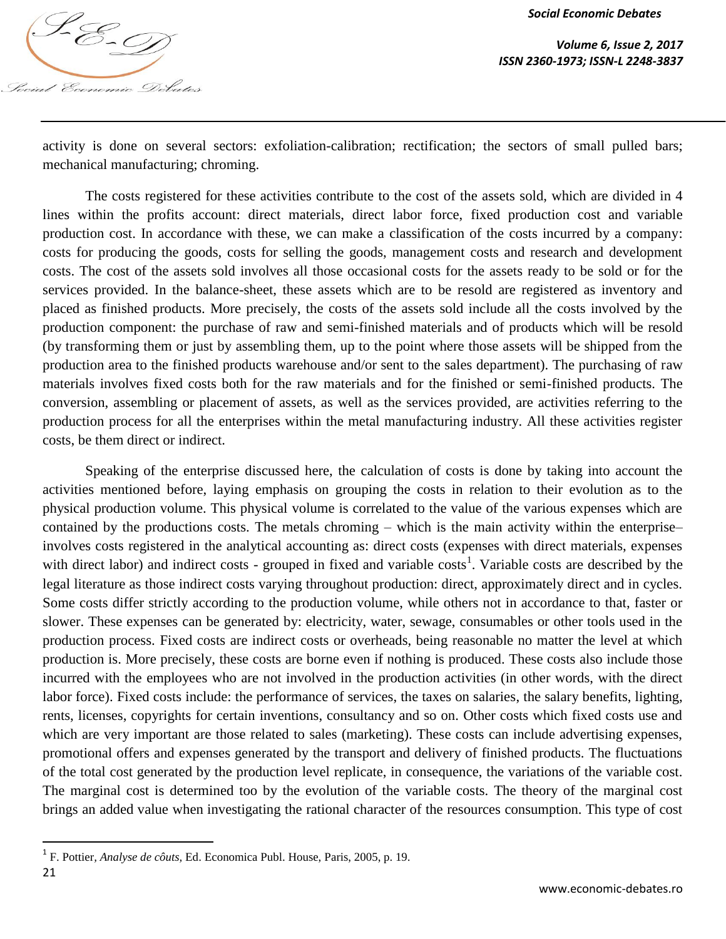

*Volume 6, Issue 2, 2017 ISSN 2360-1973; ISSN-L 2248-3837*

activity is done on several sectors: exfoliation-calibration; rectification; the sectors of small pulled bars; mechanical manufacturing; chroming.

The costs registered for these activities contribute to the cost of the assets sold, which are divided in 4 lines within the profits account: direct materials, direct labor force, fixed production cost and variable production cost. In accordance with these, we can make a classification of the costs incurred by a company: costs for producing the goods, costs for selling the goods, management costs and research and development costs. The cost of the assets sold involves all those occasional costs for the assets ready to be sold or for the services provided. In the balance-sheet, these assets which are to be resold are registered as inventory and placed as finished products. More precisely, the costs of the assets sold include all the costs involved by the production component: the purchase of raw and semi-finished materials and of products which will be resold (by transforming them or just by assembling them, up to the point where those assets will be shipped from the production area to the finished products warehouse and/or sent to the sales department). The purchasing of raw materials involves fixed costs both for the raw materials and for the finished or semi-finished products. The conversion, assembling or placement of assets, as well as the services provided, are activities referring to the production process for all the enterprises within the metal manufacturing industry. All these activities register costs, be them direct or indirect.

Speaking of the enterprise discussed here, the calculation of costs is done by taking into account the activities mentioned before, laying emphasis on grouping the costs in relation to their evolution as to the physical production volume. This physical volume is correlated to the value of the various expenses which are contained by the productions costs. The metals chroming – which is the main activity within the enterprise– involves costs registered in the analytical accounting as: direct costs (expenses with direct materials, expenses with direct labor) and indirect costs - grouped in fixed and variable costs<sup>1</sup>. Variable costs are described by the legal literature as those indirect costs varying throughout production: direct, approximately direct and in cycles. Some costs differ strictly according to the production volume, while others not in accordance to that, faster or slower. These expenses can be generated by: electricity, water, sewage, consumables or other tools used in the production process. Fixed costs are indirect costs or overheads, being reasonable no matter the level at which production is. More precisely, these costs are borne even if nothing is produced. These costs also include those incurred with the employees who are not involved in the production activities (in other words, with the direct labor force). Fixed costs include: the performance of services, the taxes on salaries, the salary benefits, lighting, rents, licenses, copyrights for certain inventions, consultancy and so on. Other costs which fixed costs use and which are very important are those related to sales (marketing). These costs can include advertising expenses, promotional offers and expenses generated by the transport and delivery of finished products. The fluctuations of the total cost generated by the production level replicate, in consequence, the variations of the variable cost. The marginal cost is determined too by the evolution of the variable costs. The theory of the marginal cost brings an added value when investigating the rational character of the resources consumption. This type of cost

 $\overline{\phantom{a}}$ 

<sup>1</sup> F. Pottier*, Analyse de côuts,* Ed. Economica Publ. House, Paris, 2005, p. 19*.*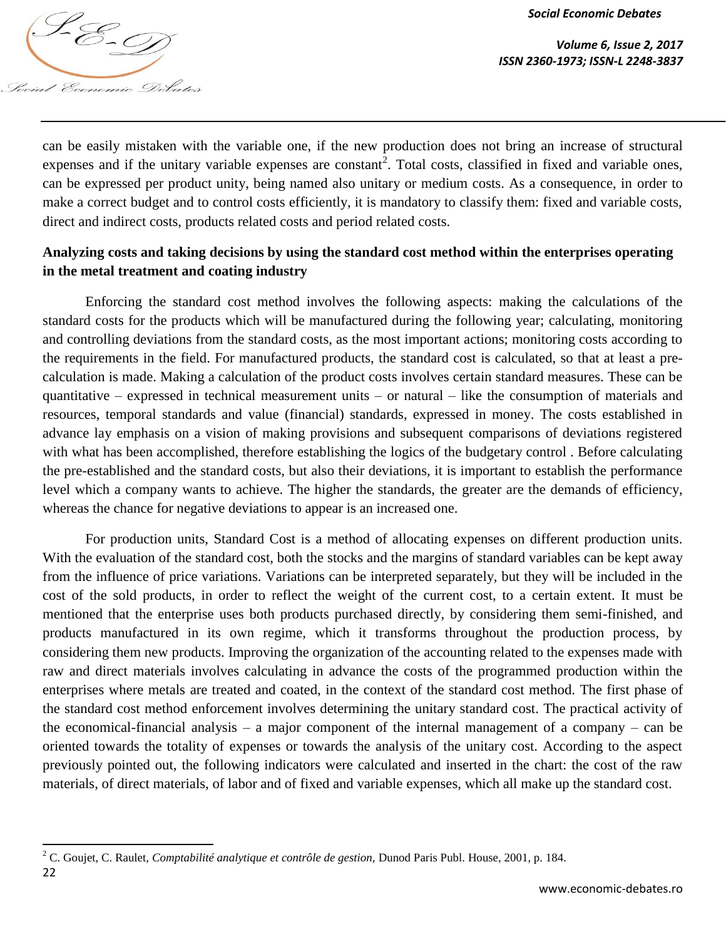

 $\overline{\phantom{a}}$ 

*Volume 6, Issue 2, 2017*

can be easily mistaken with the variable one, if the new production does not bring an increase of structural expenses and if the unitary variable expenses are constant<sup>2</sup>. Total costs, classified in fixed and variable ones, can be expressed per product unity, being named also unitary or medium costs. As a consequence, in order to make a correct budget and to control costs efficiently, it is mandatory to classify them: fixed and variable costs, direct and indirect costs, products related costs and period related costs.

# **Analyzing costs and taking decisions by using the standard cost method within the enterprises operating in the metal treatment and coating industry**

Enforcing the standard cost method involves the following aspects: making the calculations of the standard costs for the products which will be manufactured during the following year; calculating, monitoring and controlling deviations from the standard costs, as the most important actions; monitoring costs according to the requirements in the field. For manufactured products, the standard cost is calculated, so that at least a precalculation is made. Making a calculation of the product costs involves certain standard measures. These can be quantitative – expressed in technical measurement units – or natural – like the consumption of materials and resources, temporal standards and value (financial) standards, expressed in money. The costs established in advance lay emphasis on a vision of making provisions and subsequent comparisons of deviations registered with what has been accomplished, therefore establishing the logics of the budgetary control . Before calculating the pre-established and the standard costs, but also their deviations, it is important to establish the performance level which a company wants to achieve. The higher the standards, the greater are the demands of efficiency, whereas the chance for negative deviations to appear is an increased one.

For production units, Standard Cost is a method of allocating expenses on different production units. With the evaluation of the standard cost, both the stocks and the margins of standard variables can be kept away from the influence of price variations. Variations can be interpreted separately, but they will be included in the cost of the sold products, in order to reflect the weight of the current cost, to a certain extent. It must be mentioned that the enterprise uses both products purchased directly, by considering them semi-finished, and products manufactured in its own regime, which it transforms throughout the production process, by considering them new products. Improving the organization of the accounting related to the expenses made with raw and direct materials involves calculating in advance the costs of the programmed production within the enterprises where metals are treated and coated, in the context of the standard cost method. The first phase of the standard cost method enforcement involves determining the unitary standard cost. The practical activity of the economical-financial analysis – a major component of the internal management of a company – can be oriented towards the totality of expenses or towards the analysis of the unitary cost. According to the aspect previously pointed out, the following indicators were calculated and inserted in the chart: the cost of the raw materials, of direct materials, of labor and of fixed and variable expenses, which all make up the standard cost.

<sup>22</sup> <sup>2</sup> C. Goujet, C. Raulet*, Comptabilité analytique et contrôle de gestion,* Dunod Paris Publ. House, 2001, p. 184.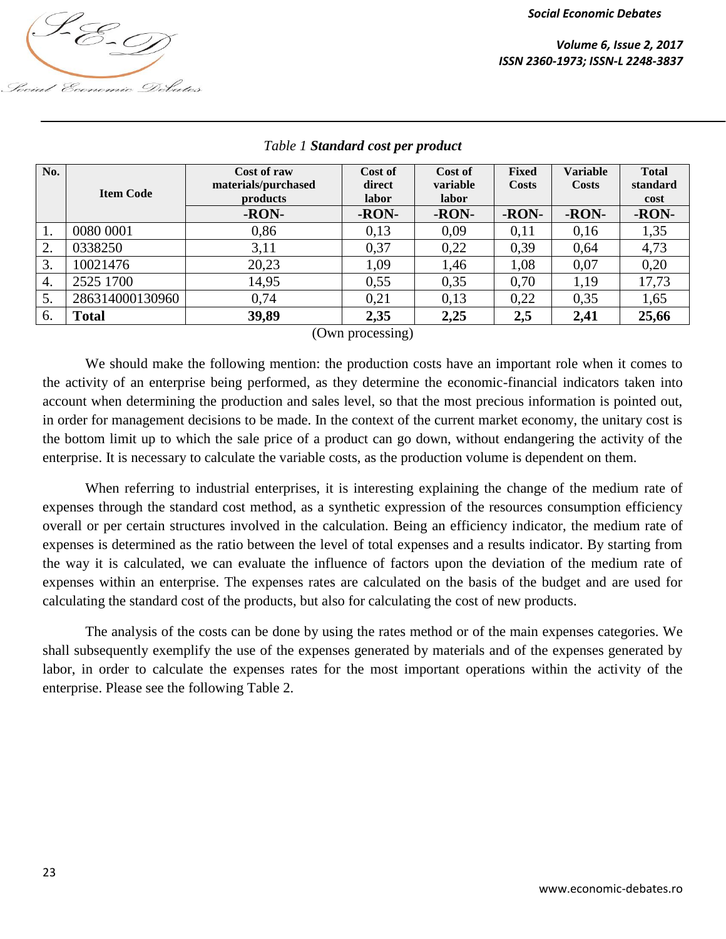

| No.              | <b>Item Code</b> | Cost of raw<br>materials/purchased<br>products<br>-RON- | Cost of<br>direct<br>labor<br>-RON- | Cost of<br>variable<br>labor<br>-RON- | <b>Fixed</b><br><b>Costs</b><br>-RON- | <b>Variable</b><br>Costs<br>-RON- | <b>Total</b><br>standard<br>cost<br>-RON- |
|------------------|------------------|---------------------------------------------------------|-------------------------------------|---------------------------------------|---------------------------------------|-----------------------------------|-------------------------------------------|
| 1.               | 0080 0001        | 0,86                                                    | 0,13                                | 0,09                                  | 0,11                                  | 0,16                              | 1,35                                      |
| 2.               | 0338250          | 3,11                                                    | 0,37                                | 0,22                                  | 0,39                                  | 0.64                              | 4,73                                      |
| 3.               | 10021476         | 20,23                                                   | 1,09                                | 1,46                                  | 1,08                                  | 0,07                              | 0,20                                      |
| $\overline{4}$ . | 2525 1700        | 14,95                                                   | 0,55                                | 0,35                                  | 0,70                                  | 1,19                              | 17,73                                     |
| 5.               | 286314000130960  | 0.74                                                    | 0,21                                | 0,13                                  | 0,22                                  | 0.35                              | 1,65                                      |
| 6.               | Total            | 39,89                                                   | 2,35                                | 2,25                                  | 2,5                                   | 2,41                              | 25,66                                     |

## *Table 1 Standard cost per product*

(Own processing)

We should make the following mention: the production costs have an important role when it comes to the activity of an enterprise being performed, as they determine the economic-financial indicators taken into account when determining the production and sales level, so that the most precious information is pointed out, in order for management decisions to be made. In the context of the current market economy, the unitary cost is the bottom limit up to which the sale price of a product can go down, without endangering the activity of the enterprise. It is necessary to calculate the variable costs, as the production volume is dependent on them.

When referring to industrial enterprises, it is interesting explaining the change of the medium rate of expenses through the standard cost method, as a synthetic expression of the resources consumption efficiency overall or per certain structures involved in the calculation. Being an efficiency indicator, the medium rate of expenses is determined as the ratio between the level of total expenses and a results indicator. By starting from the way it is calculated, we can evaluate the influence of factors upon the deviation of the medium rate of expenses within an enterprise. The expenses rates are calculated on the basis of the budget and are used for calculating the standard cost of the products, but also for calculating the cost of new products.

The analysis of the costs can be done by using the rates method or of the main expenses categories. We shall subsequently exemplify the use of the expenses generated by materials and of the expenses generated by labor, in order to calculate the expenses rates for the most important operations within the activity of the enterprise. Please see the following Table 2.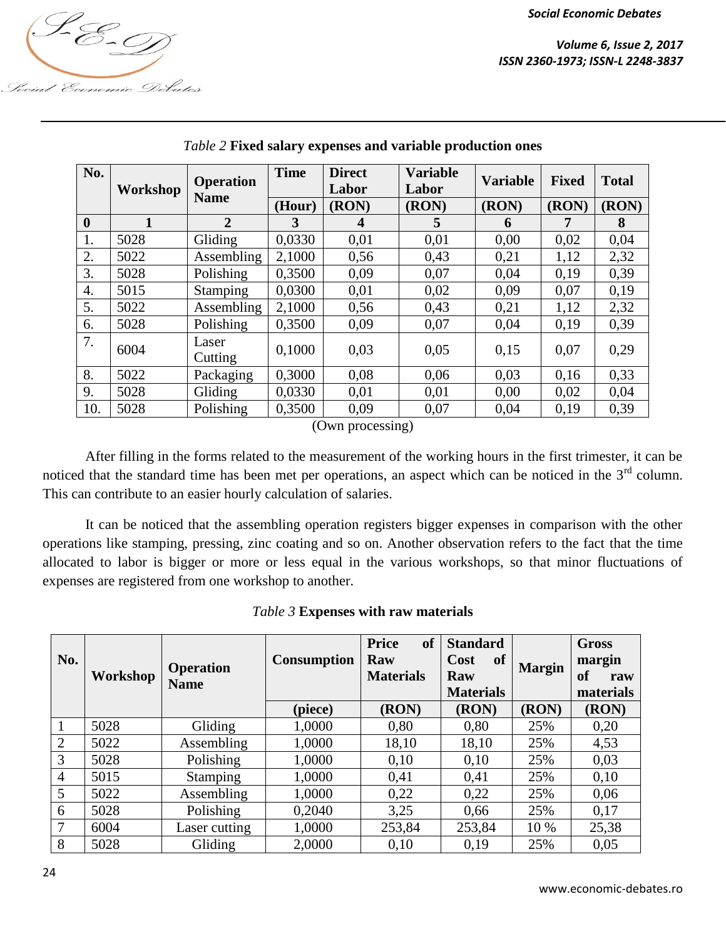

| Social Economic Debates |  |
|-------------------------|--|

| No.              | Workshop | <b>Operation</b><br><b>Name</b> | <b>Time</b> | <b>Direct</b><br>Labor                                                              | <b>Variable</b><br>Labor | <b>Variable</b> | <b>Fixed</b> | <b>Total</b> |
|------------------|----------|---------------------------------|-------------|-------------------------------------------------------------------------------------|--------------------------|-----------------|--------------|--------------|
|                  |          |                                 | (Hour)      | (RON)                                                                               | (RON)                    | (RON)           | (RON)        | (RON)        |
| $\mathbf{0}$     |          | $\overline{2}$                  | 3           | 4                                                                                   | 5                        | 6               |              | 8            |
| 1.               | 5028     | Gliding                         | 0,0330      | 0,01                                                                                | 0,01                     | 0,00            | 0,02         | 0,04         |
| 2.               | 5022     | Assembling                      | 2,1000      | 0,56                                                                                | 0,43                     | 0,21            | 1,12         | 2,32         |
| $\overline{3}$ . | 5028     | Polishing                       | 0,3500      | 0,09                                                                                | 0,07                     | 0,04            | 0,19         | 0.39         |
| $\overline{4}$ . | 5015     | <b>Stamping</b>                 | 0,0300      | 0,01                                                                                | 0,02                     | 0,09            | 0,07         | 0,19         |
| 5.               | 5022     | Assembling                      | 2,1000      | 0,56                                                                                | 0,43                     | 0,21            | 1,12         | 2,32         |
| 6.               | 5028     | Polishing                       | 0,3500      | 0,09                                                                                | 0,07                     | 0,04            | 0,19         | 0,39         |
| 7.               | 6004     | Laser<br>Cutting                | 0,1000      | 0,03                                                                                | 0,05                     | 0,15            | 0,07         | 0,29         |
| 8.               | 5022     | Packaging                       | 0,3000      | 0,08                                                                                | 0,06                     | 0,03            | 0,16         | 0,33         |
| 9.               | 5028     | Gliding                         | 0,0330      | 0,01                                                                                | 0,01                     | 0,00            | 0,02         | 0,04         |
| 10.              | 5028     | Polishing                       | 0,3500      | 0,09                                                                                | 0,07                     | 0,04            | 0,19         | 0,39         |
|                  |          |                                 |             | $(\bigcap_{x \in \mathbb{N}} \mathbb{R}^n \times \mathbb{R}^n \times \mathbb{R}^n)$ |                          |                 |              |              |

## *Table 2* **Fixed salary expenses and variable production ones**

(Own processing)

After filling in the forms related to the measurement of the working hours in the first trimester, it can be noticed that the standard time has been met per operations, an aspect which can be noticed in the 3<sup>rd</sup> column. This can contribute to an easier hourly calculation of salaries.

It can be noticed that the assembling operation registers bigger expenses in comparison with the other operations like stamping, pressing, zinc coating and so on. Another observation refers to the fact that the time allocated to labor is bigger or more or less equal in the various workshops, so that minor fluctuations of expenses are registered from one workshop to another.

|  |  | Table 3 Expenses with raw materials |  |
|--|--|-------------------------------------|--|
|  |  |                                     |  |

| No.            | Workshop | <b>Operation</b><br><b>Name</b> | <b>Consumption</b> | <b>Price</b><br><sub>of</sub><br>Raw<br><b>Materials</b> | <b>Standard</b><br>Cost<br>of<br>Raw | <b>Margin</b> | <b>Gross</b><br>margin<br><b>of</b><br>raw |  |
|----------------|----------|---------------------------------|--------------------|----------------------------------------------------------|--------------------------------------|---------------|--------------------------------------------|--|
|                |          |                                 |                    |                                                          | <b>Materials</b>                     |               | materials                                  |  |
|                |          |                                 | (piece)            | (RON)                                                    | (RON)                                | (RON)         | (RON)                                      |  |
| 1              | 5028     | Gliding                         | 1,0000             | 0,80                                                     | 0,80                                 | 25%           | 0,20                                       |  |
| 2              | 5022     | Assembling                      | 1,0000             | 18,10                                                    | 18,10                                | 25%           | 4,53                                       |  |
| 3              | 5028     | Polishing                       | 1,0000             | 0,10                                                     | 0,10                                 | 25%           | 0,03                                       |  |
| $\overline{4}$ | 5015     | <b>Stamping</b>                 | 1,0000             | 0,41                                                     | 0,41                                 | 25%           | 0,10                                       |  |
| 5              | 5022     | Assembling                      | 1,0000             | 0,22                                                     | 0,22                                 | 25%           | 0,06                                       |  |
| 6              | 5028     | Polishing                       | 0,2040             | 3,25                                                     | 0,66                                 | 25%           | 0.17                                       |  |
| 7              | 6004     | Laser cutting                   | 1,0000             | 253,84                                                   | 253,84                               | 10 %          | 25,38                                      |  |
| 8              | 5028     | Gliding                         | 2,0000             | 0,10                                                     | 0,19                                 | 25%           | 0,05                                       |  |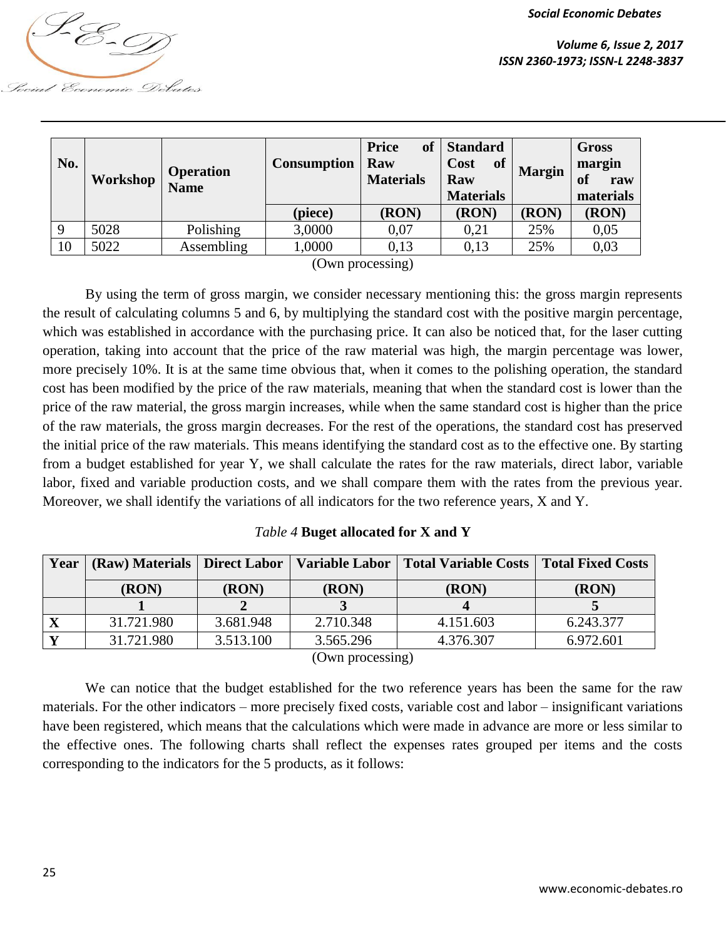

| No. | Workshop | <b>Operation</b><br><b>Name</b> | <b>Consumption</b> | of<br><b>Price</b><br>Raw<br><b>Materials</b> | <b>Standard</b><br><b>of</b><br>Cost<br><b>Margin</b><br>Raw<br><b>Materials</b> |       | <b>Gross</b><br>margin<br>of<br>raw<br>materials |  |
|-----|----------|---------------------------------|--------------------|-----------------------------------------------|----------------------------------------------------------------------------------|-------|--------------------------------------------------|--|
|     |          |                                 | (piece)            | (RON)                                         | (RON)                                                                            | (RON) | (RON)                                            |  |
| 9   | 5028     | Polishing                       | 3,0000             | 0,07                                          | 0,21                                                                             | 25%   | 0,05                                             |  |
| 10  | 5022     | Assembling                      | 1,0000             | 0.13                                          | 0,13                                                                             | 25%   | 0,03                                             |  |

(Own processing)

By using the term of gross margin, we consider necessary mentioning this: the gross margin represents the result of calculating columns 5 and 6, by multiplying the standard cost with the positive margin percentage, which was established in accordance with the purchasing price. It can also be noticed that, for the laser cutting operation, taking into account that the price of the raw material was high, the margin percentage was lower, more precisely 10%. It is at the same time obvious that, when it comes to the polishing operation, the standard cost has been modified by the price of the raw materials, meaning that when the standard cost is lower than the price of the raw material, the gross margin increases, while when the same standard cost is higher than the price of the raw materials, the gross margin decreases. For the rest of the operations, the standard cost has preserved the initial price of the raw materials. This means identifying the standard cost as to the effective one. By starting from a budget established for year Y, we shall calculate the rates for the raw materials, direct labor, variable labor, fixed and variable production costs, and we shall compare them with the rates from the previous year. Moreover, we shall identify the variations of all indicators for the two reference years, X and Y.

*Table 4* **Buget allocated for X and Y**

| Year |            |           |           | (Raw) Materials   Direct Labor   Variable Labor   Total Variable Costs   Total Fixed Costs |           |  |
|------|------------|-----------|-----------|--------------------------------------------------------------------------------------------|-----------|--|
|      | (RON)      | (RON)     | (RON)     | (RON)                                                                                      | (RON)     |  |
|      |            |           |           |                                                                                            |           |  |
|      | 31.721.980 | 3.681.948 | 2.710.348 | 4.151.603                                                                                  | 6.243.377 |  |
|      | 31.721.980 | 3.513.100 | 3.565.296 | 4.376.307                                                                                  | 6.972.601 |  |

(Own processing)

We can notice that the budget established for the two reference years has been the same for the raw materials. For the other indicators – more precisely fixed costs, variable cost and labor – insignificant variations have been registered, which means that the calculations which were made in advance are more or less similar to the effective ones. The following charts shall reflect the expenses rates grouped per items and the costs corresponding to the indicators for the 5 products, as it follows: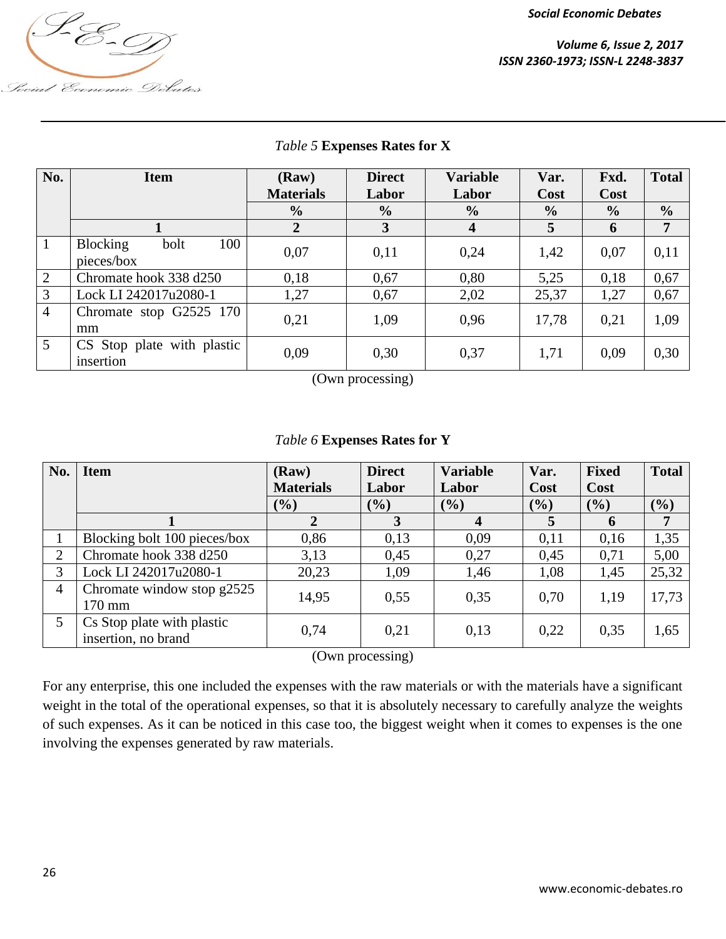

*Volume 6, Issue 2, 2017 ISSN 2360-1973; ISSN-L 2248-3837*

| Social Economic Debates |  |
|-------------------------|--|

| No.            | <b>Item</b>                                  | (Raw)<br><b>Materials</b> | <b>Direct</b><br>Labor | <b>Variable</b><br>Labor | Var.<br>Cost  | Fxd.<br>Cost  | <b>Total</b>   |
|----------------|----------------------------------------------|---------------------------|------------------------|--------------------------|---------------|---------------|----------------|
|                |                                              | $\frac{0}{0}$             | $\frac{0}{0}$          | $\frac{0}{0}$            | $\frac{0}{0}$ | $\frac{0}{0}$ | $\frac{0}{0}$  |
|                |                                              | $\overline{2}$            | 3                      | 4                        | 5             | 6             | $\overline{7}$ |
| $\mathbf{1}$   | 100<br><b>Blocking</b><br>bolt<br>pieces/box | 0,07                      | 0,11                   | 0,24                     | 1,42          | 0,07          | 0,11           |
| $\overline{2}$ | Chromate hook 338 d250                       | 0,18                      | 0,67                   | 0,80                     | 5.25          | 0,18          | 0,67           |
| 3              | Lock LI 242017u2080-1                        | 1,27                      | 0,67                   | 2,02                     | 25,37         | 1,27          | 0,67           |
| $\overline{4}$ | Chromate stop G2525 170<br>mm                | 0.21                      | 1,09                   | 0,96                     | 17,78         | 0,21          | 1,09           |
| 5 <sup>5</sup> | CS Stop plate with plastic<br>insertion      | 0,09                      | 0,30                   | 0,37                     | 1,71          | 0,09          | 0,30           |

### *Table 5* **Expenses Rates for X**

(Own processing)

## *Table 6* **Expenses Rates for Y**

| No. | <b>Item</b>                                       | (Raw)            | <b>Direct</b> | <b>Variable</b> | Var.   | <b>Fixed</b> | <b>Total</b> |
|-----|---------------------------------------------------|------------------|---------------|-----------------|--------|--------------|--------------|
|     |                                                   | <b>Materials</b> | Labor         | Labor           | Cost   | Cost         |              |
|     |                                                   | $(\%)$           | $(\%)$        | (%)             | $(\%)$ | (9/0)        | (%)          |
|     |                                                   |                  | 3             | $\overline{4}$  | 5      | 6            | 7            |
|     | Blocking bolt 100 pieces/box                      | 0,86             | 0,13          | 0,09            | 0.11   | 0,16         | 1,35         |
| 2   | Chromate hook 338 d250                            | 3,13             | 0,45          | 0,27            | 0.45   | 0,71         | 5,00         |
| 3   | Lock LI 242017u2080-1                             | 20,23            | 1,09          | 1,46            | 1,08   | 1,45         | 25,32        |
| 4   | Chromate window stop $g2525$                      | 14,95            | 0,55          | 0,35            | 0.70   | 1,19         | 17,73        |
|     | $170 \text{ mm}$                                  |                  |               |                 |        |              |              |
| 5   | Cs Stop plate with plastic<br>insertion, no brand | 0,74             | 0,21          | 0,13            | 0,22   | 0,35         | 1,65         |

(Own processing)

For any enterprise, this one included the expenses with the raw materials or with the materials have a significant weight in the total of the operational expenses, so that it is absolutely necessary to carefully analyze the weights of such expenses. As it can be noticed in this case too, the biggest weight when it comes to expenses is the one involving the expenses generated by raw materials.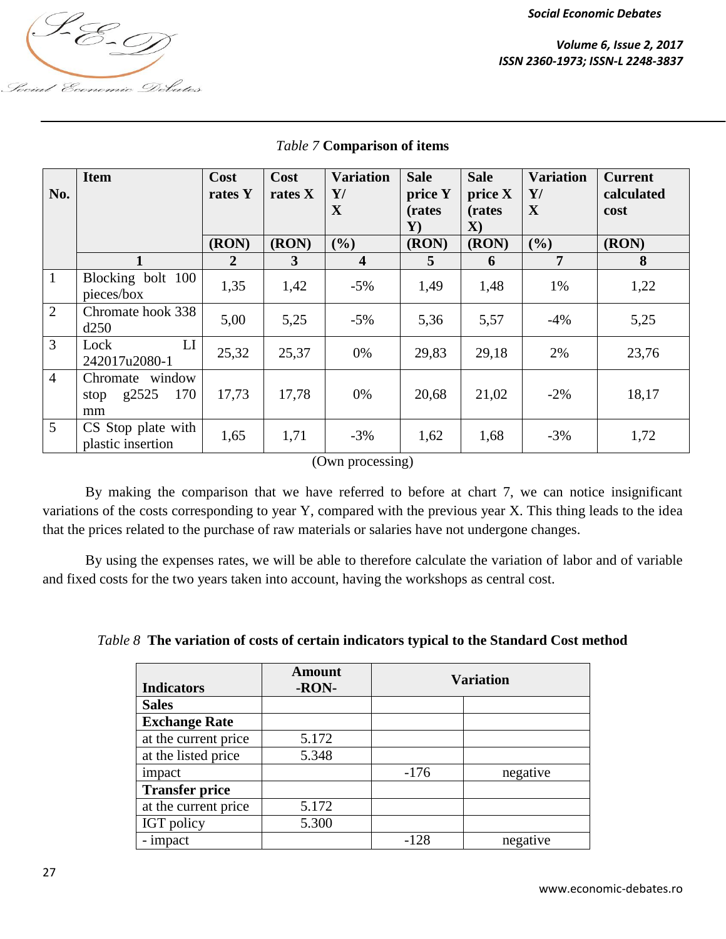

| No.            | <b>Item</b>                                   | Cost<br>rates Y | Cost<br>rates X | <b>Variation</b><br>Y/<br>X | <b>Sale</b><br>price Y<br>(rates | <b>Sale</b><br>price X<br>(rates) | <b>Variation</b><br>$\mathbf{Y}$ /<br>$\mathbf X$ | <b>Current</b><br>calculated<br>cost |
|----------------|-----------------------------------------------|-----------------|-----------------|-----------------------------|----------------------------------|-----------------------------------|---------------------------------------------------|--------------------------------------|
|                |                                               |                 |                 |                             | $\mathbf{Y}$                     | $\mathbf{X}$                      |                                                   |                                      |
|                |                                               | (RON)           | (RON)           | (%)                         | (RON)                            | (RON)                             | (%)                                               | (RON)                                |
|                |                                               | $\overline{2}$  | 3               | $\overline{\mathbf{4}}$     | 5                                | 6                                 | 7                                                 | 8                                    |
| $\mathbf{1}$   | Blocking bolt 100<br>pieces/box               | 1,35            | 1,42            | $-5\%$                      | 1,49                             | 1,48                              | 1%                                                | 1,22                                 |
| 2              | Chromate hook 338<br>d250                     | 5,00            | 5,25            | $-5\%$                      | 5,36                             | 5,57                              | $-4%$                                             | 5,25                                 |
| $\mathfrak{Z}$ | LI<br>Lock<br>242017u2080-1                   | 25,32           | 25,37           | 0%                          | 29,83                            | 29,18                             | 2%                                                | 23,76                                |
| $\overline{4}$ | Chromate window<br>170<br>g2525<br>stop<br>mm | 17,73           | 17,78           | 0%                          | 20,68                            | 21,02                             | $-2\%$                                            | 18,17                                |
| $\overline{5}$ | CS Stop plate with<br>plastic insertion       | 1,65            | 1,71            | $-3%$                       | 1,62                             | 1,68                              | $-3%$                                             | 1,72                                 |
|                |                                               |                 |                 | (Own processing)            |                                  |                                   |                                                   |                                      |

#### *Table 7* **Comparison of items**

By making the comparison that we have referred to before at chart 7, we can notice insignificant variations of the costs corresponding to year Y, compared with the previous year X. This thing leads to the idea that the prices related to the purchase of raw materials or salaries have not undergone changes.

By using the expenses rates, we will be able to therefore calculate the variation of labor and of variable and fixed costs for the two years taken into account, having the workshops as central cost.

| Table 8 The variation of costs of certain indicators typical to the Standard Cost method |  |  |  |  |
|------------------------------------------------------------------------------------------|--|--|--|--|
|                                                                                          |  |  |  |  |

| <b>Indicators</b>     | <b>Amount</b><br>-RON- | <b>Variation</b> |          |  |
|-----------------------|------------------------|------------------|----------|--|
| <b>Sales</b>          |                        |                  |          |  |
| <b>Exchange Rate</b>  |                        |                  |          |  |
| at the current price  | 5.172                  |                  |          |  |
| at the listed price   | 5.348                  |                  |          |  |
| impact                |                        | $-176$           | negative |  |
| <b>Transfer price</b> |                        |                  |          |  |
| at the current price  | 5.172                  |                  |          |  |
| IGT policy            | 5.300                  |                  |          |  |
| - impact              |                        | $-128$           | negative |  |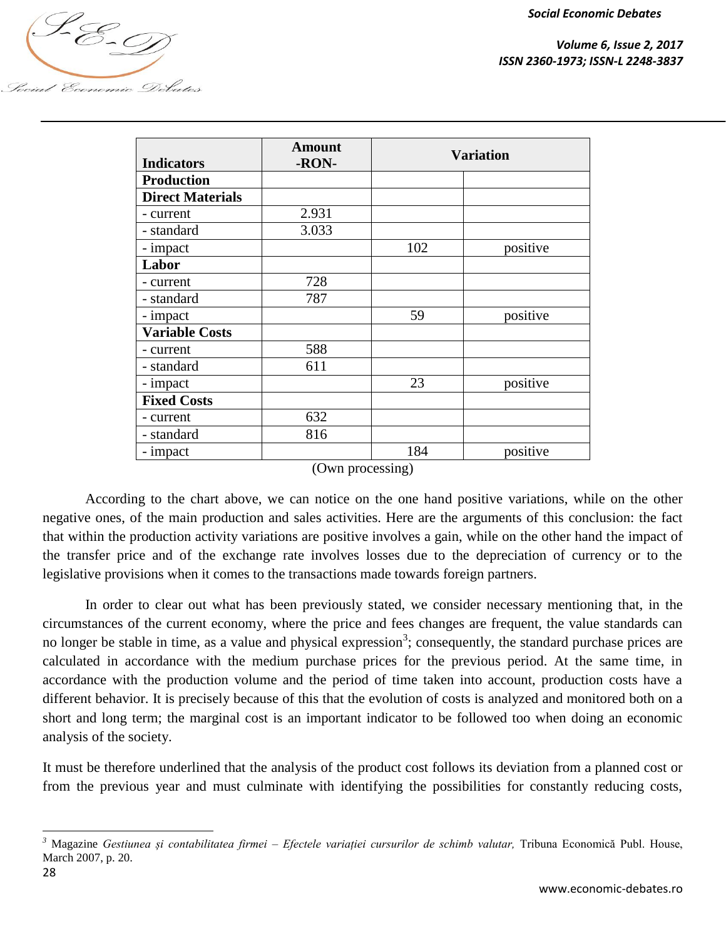*Volume 6, Issue 2, 2017 <u> <i>I*</u><br> *Volume 6, Issue 2, 2017*<br>ISSN 2360-1973; ISSN-L 2248-3837

|                         | <b>Amount</b> | <b>Variation</b> |          |
|-------------------------|---------------|------------------|----------|
| <b>Indicators</b>       | -RON-         |                  |          |
| <b>Production</b>       |               |                  |          |
| <b>Direct Materials</b> |               |                  |          |
| - current               | 2.931         |                  |          |
| - standard              | 3.033         |                  |          |
| - impact                |               | 102              | positive |
| Labor                   |               |                  |          |
| - current               | 728           |                  |          |
| - standard              | 787           |                  |          |
| - impact                |               | 59               | positive |
| <b>Variable Costs</b>   |               |                  |          |
| - current               | 588           |                  |          |
| - standard              | 611           |                  |          |
| - impact                |               | 23               | positive |
| <b>Fixed Costs</b>      |               |                  |          |
| - current               | 632           |                  |          |
| - standard              | 816           |                  |          |
| - impact                |               | 184              | positive |

(Own processing)

According to the chart above, we can notice on the one hand positive variations, while on the other negative ones, of the main production and sales activities. Here are the arguments of this conclusion: the fact that within the production activity variations are positive involves a gain, while on the other hand the impact of the transfer price and of the exchange rate involves losses due to the depreciation of currency or to the legislative provisions when it comes to the transactions made towards foreign partners.

In order to clear out what has been previously stated, we consider necessary mentioning that, in the circumstances of the current economy, where the price and fees changes are frequent, the value standards can no longer be stable in time, as a value and physical expression<sup>3</sup>; consequently, the standard purchase prices are calculated in accordance with the medium purchase prices for the previous period. At the same time, in accordance with the production volume and the period of time taken into account, production costs have a different behavior. It is precisely because of this that the evolution of costs is analyzed and monitored both on a short and long term; the marginal cost is an important indicator to be followed too when doing an economic analysis of the society.

It must be therefore underlined that the analysis of the product cost follows its deviation from a planned cost or from the previous year and must culminate with identifying the possibilities for constantly reducing costs,

 $\overline{\phantom{a}}$ 

Social Economic Debates

*<sup>3</sup>* Magazine *Gestiunea și contabilitatea firmei – Efectele variației cursurilor de schimb valutar,* Tribuna Economică Publ. House, March 2007, p. 20.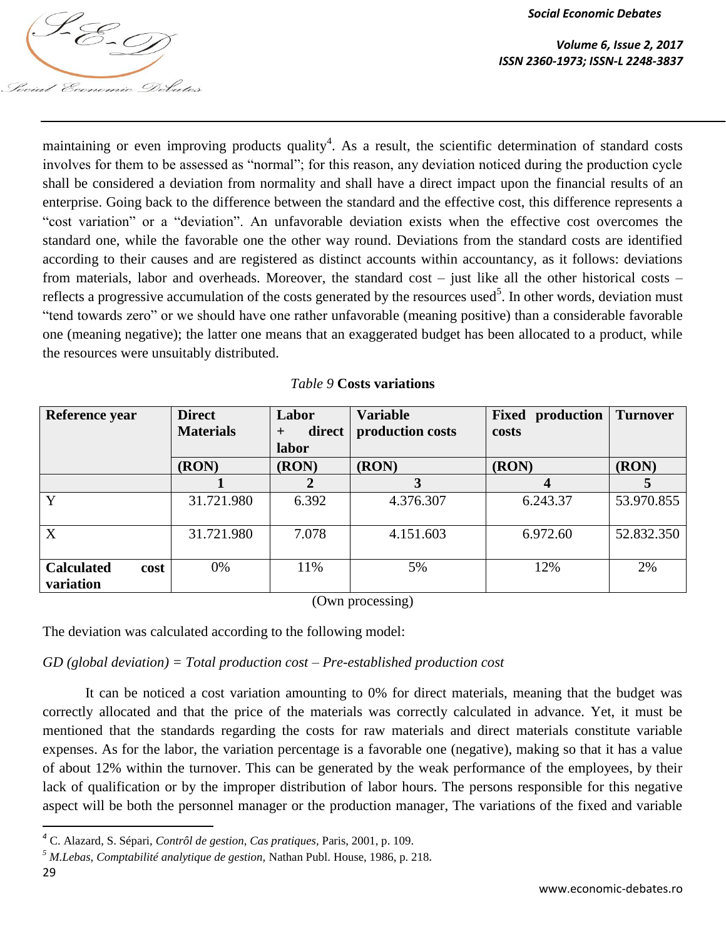

maintaining or even improving products quality<sup>4</sup>. As a result, the scientific determination of standard costs involves for them to be assessed as "normal"; for this reason, any deviation noticed during the production cycle shall be considered a deviation from normality and shall have a direct impact upon the financial results of an enterprise. Going back to the difference between the standard and the effective cost, this difference represents a "cost variation" or a "deviation". An unfavorable deviation exists when the effective cost overcomes the standard one, while the favorable one the other way round. Deviations from the standard costs are identified according to their causes and are registered as distinct accounts within accountancy, as it follows: deviations from materials, labor and overheads. Moreover, the standard cost – just like all the other historical costs – reflects a progressive accumulation of the costs generated by the resources used<sup>5</sup>. In other words, deviation must "tend towards zero" or we should have one rather unfavorable (meaning positive) than a considerable favorable one (meaning negative); the latter one means that an exaggerated budget has been allocated to a product, while the resources were unsuitably distributed.

| Reference year                         | <b>Direct</b><br><b>Materials</b> | Labor<br>direct<br>$\pm$ | <b>Variable</b><br>production costs | <b>Fixed production</b><br>costs | <b>Turnover</b> |
|----------------------------------------|-----------------------------------|--------------------------|-------------------------------------|----------------------------------|-----------------|
|                                        | (RON)                             | labor<br>(RON)           | (RON)                               | (RON)                            | (RON)           |
|                                        |                                   |                          |                                     | 4                                |                 |
| Y                                      | 31.721.980                        | 6.392                    | 4.376.307                           | 6.243.37                         | 53.970.855      |
| X                                      | 31.721.980                        | 7.078                    | 4.151.603                           | 6.972.60                         | 52.832.350      |
| <b>Calculated</b><br>cost<br>variation | 0%                                | 11%                      | 5%                                  | 12%                              | 2%              |

*Table 9* **Costs variations**

(Own processing)

The deviation was calculated according to the following model:

## *GD (global deviation) = Total production cost – Pre-established production cost*

It can be noticed a cost variation amounting to 0% for direct materials, meaning that the budget was correctly allocated and that the price of the materials was correctly calculated in advance. Yet, it must be mentioned that the standards regarding the costs for raw materials and direct materials constitute variable expenses. As for the labor, the variation percentage is a favorable one (negative), making so that it has a value of about 12% within the turnover. This can be generated by the weak performance of the employees, by their lack of qualification or by the improper distribution of labor hours. The persons responsible for this negative aspect will be both the personnel manager or the production manager, The variations of the fixed and variable

 $\overline{a}$ 

*<sup>4</sup>* C. Alazard, S. Sépari, *Contrôl de gestion, Cas pratiques,* Paris, 2001, p. 109.

*<sup>5</sup> M.Lebas, Comptabilité analytique de gestion,* Nathan Publ. House, 1986, p. 218*.*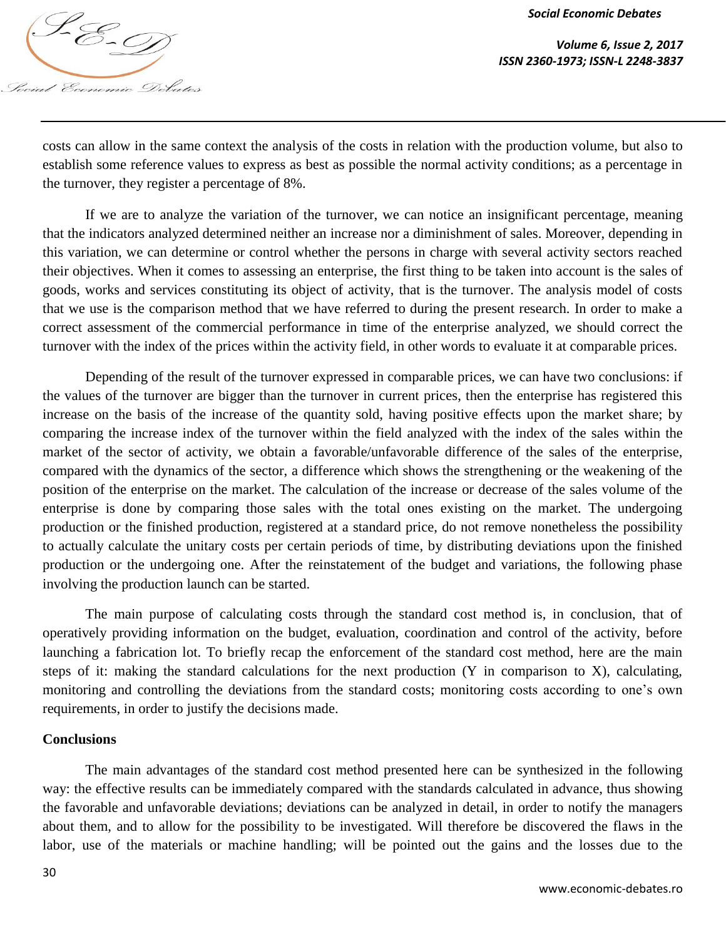

*Volume 6, Issue 2, 2017 ISSN 2360-1973; ISSN-L 2248-3837*

costs can allow in the same context the analysis of the costs in relation with the production volume, but also to establish some reference values to express as best as possible the normal activity conditions; as a percentage in the turnover, they register a percentage of 8%.

If we are to analyze the variation of the turnover, we can notice an insignificant percentage, meaning that the indicators analyzed determined neither an increase nor a diminishment of sales. Moreover, depending in this variation, we can determine or control whether the persons in charge with several activity sectors reached their objectives. When it comes to assessing an enterprise, the first thing to be taken into account is the sales of goods, works and services constituting its object of activity, that is the turnover. The analysis model of costs that we use is the comparison method that we have referred to during the present research. In order to make a correct assessment of the commercial performance in time of the enterprise analyzed, we should correct the turnover with the index of the prices within the activity field, in other words to evaluate it at comparable prices.

Depending of the result of the turnover expressed in comparable prices, we can have two conclusions: if the values of the turnover are bigger than the turnover in current prices, then the enterprise has registered this increase on the basis of the increase of the quantity sold, having positive effects upon the market share; by comparing the increase index of the turnover within the field analyzed with the index of the sales within the market of the sector of activity, we obtain a favorable/unfavorable difference of the sales of the enterprise, compared with the dynamics of the sector, a difference which shows the strengthening or the weakening of the position of the enterprise on the market. The calculation of the increase or decrease of the sales volume of the enterprise is done by comparing those sales with the total ones existing on the market. The undergoing production or the finished production, registered at a standard price, do not remove nonetheless the possibility to actually calculate the unitary costs per certain periods of time, by distributing deviations upon the finished production or the undergoing one. After the reinstatement of the budget and variations, the following phase involving the production launch can be started.

The main purpose of calculating costs through the standard cost method is, in conclusion, that of operatively providing information on the budget, evaluation, coordination and control of the activity, before launching a fabrication lot. To briefly recap the enforcement of the standard cost method, here are the main steps of it: making the standard calculations for the next production (Y in comparison to X), calculating, monitoring and controlling the deviations from the standard costs; monitoring costs according to one's own requirements, in order to justify the decisions made.

#### **Conclusions**

The main advantages of the standard cost method presented here can be synthesized in the following way: the effective results can be immediately compared with the standards calculated in advance, thus showing the favorable and unfavorable deviations; deviations can be analyzed in detail, in order to notify the managers about them, and to allow for the possibility to be investigated. Will therefore be discovered the flaws in the labor, use of the materials or machine handling; will be pointed out the gains and the losses due to the